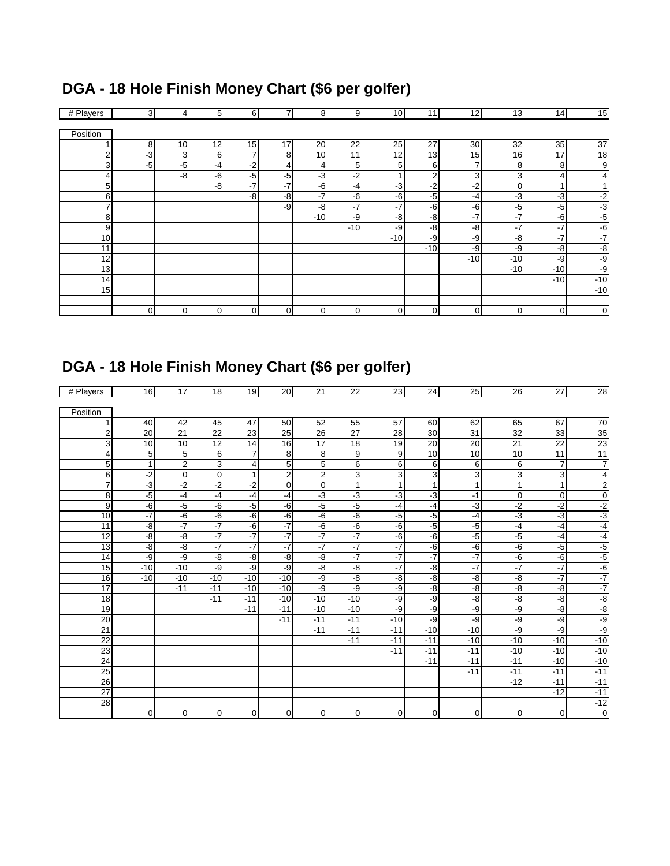#### # Players | 3 | 4 | 5 | 6 | 7 | 8 | 9| 10| 11| 12| 13| 14| 15 Position 1 8 10 12 15 17 20 22 25 27 30 32 35 37 2 -3 3 6 7 8 10 11 12 13 15 16 17 18 -5 -5 -4 -2 4 4 5 5 6 7 8 8 9 4 | -8| -6| -5| -3| -2| 1| 2| 3| 3| 4| 4 5 -8 -7 -7 -6 -4 -3 -2 -2 -0 -1 -1 6 | | | -8 -8 -7 -6 -6 -5 -4 -3 -3 -3 -2 7 | | | | -9 -8 -7 -7 -6 -6 -5 -5 -3 8 | | | | | -10 -9 -8 -8 -7 -7 -6 -5 9 -10 -9 -8 -8 -7 -7 -7 -6 10 -9 -9 -8 -7 -7 -7 -10 -9 -9 -8 -8 -10 -10 -9 -9 -10 -10 -9 14 | | | | | | | | | | | | | 10 15 | | | | | | | | | | | | | | 0 0 0 0 0 0 0 0 0 0 0 0 0

#### **DGA - 18 Hole Finish Money Chart (\$6 per golfer)**

### **DGA - 18 Hole Finish Money Chart (\$6 per golfer)**

| # Players       | 16              | 17              | 18             | 19          | 20             | 21             | 22              | 23           | 24           | 25             | 26             | 27             | 28                      |
|-----------------|-----------------|-----------------|----------------|-------------|----------------|----------------|-----------------|--------------|--------------|----------------|----------------|----------------|-------------------------|
|                 |                 |                 |                |             |                |                |                 |              |              |                |                |                |                         |
| Position        |                 |                 |                |             |                |                |                 |              |              |                |                |                |                         |
| $\mathbf{1}$    | 40              | 42              | 45             | 47          | 50             | 52             | 55              | 57           | 60           | 62             | 65             | 67             | 70                      |
| $\overline{c}$  | 20              | $\overline{21}$ | 22             | 23          | 25             | 26             | $\overline{27}$ | 28           | 30           | 31             | 32             | 33             | 35                      |
| 3               | 10              | 10              | 12             | 14          | 16             | 17             | 18              | 19           | 20           | 20             | 21             | 22             | 23                      |
| 4               | 5               | 5               | 6              | 7           | 8              | 8              | 9               | 9            | 10           | 10             | 10             | 11             | 11                      |
| 5               | $\overline{1}$  | $\overline{2}$  | $\overline{3}$ | 4           | 5              | 5              | 6               | 6            | 6            | 6              | 6              | $\overline{7}$ | $\overline{7}$          |
| 6               | $-2$            | 0               | $\mathbf 0$    | 1           | 2              | $\overline{2}$ | 3               | 3            | 3            | 3              | 3              | 3              | $\overline{\mathbf{4}}$ |
| $\overline{7}$  | $\overline{-3}$ | $-2$            | $-2$           | $-2$        | 0              | $\mathbf 0$    | $\mathbf{1}$    | $\mathbf{1}$ | $\mathbf{1}$ | $\mathbf{1}$   | $\mathbf{1}$   | $\mathbf{1}$   | $\overline{c}$          |
| $\overline{8}$  | $-5$            | $-4$            | $-4$           | $-4$        | $-4$           | $-3$           | ٠3              | د.           | د.           | $-1$           | $\overline{0}$ | $\mathbf 0$    | $\overline{0}$          |
| 9               | -6              | $-5$            | $-6$           | $-5$        | -6             | $-5$           | $-5$            | $-4$         | $-4$         | $-3$           | $-2$           | $-2$           | $\frac{-2}{-3}$         |
| 10              | $-7$            | $-6$            | $-6$           | $-6$        | $-6$           | $-6$           | -6              | $-5$         | $-5$         | -4             | $-3$           | $-3$           |                         |
| 11              | $-8$            | $-7$            | $-7$           | $-6$        | $-7$           | $-6$           | $-6$            | $-6$         | $-5$         | $-5$           | $-4$           | $-4$           | $-4$                    |
| 12              | -8              | $-8$            | $-7$           | $-7$        | $-7$           | $-7$           | $-7$            | $-6$         | $-6$         | $-5$           | $-5$           | $-4$           | $-4$                    |
| 13              | -8              | $-8$            | $-7$           | $-7$        | $-7$           | $-7$           | $-7$            | $-7$         | $-6$         | $-6$           | $-6$           | -5             | $\frac{-5}{-5}$         |
| 14              | -9              | -9              | $-8$           | -8          | -8             | -8             | $-7$            | $-7$         | $-7$         | $-7$           | $-6$           | $-6$           |                         |
| 15              | $-10$           | $-10$           | -9             | -9          | -9             | -8             | $-8$            | $-7$         | -8           | $-7$           | $-7$           | $-7$           | $-6$                    |
| 16              | $-10$           | $-10$           | $-10$          | $-10$       | $-10$          | -9             | $-8$            | -8           | -8           | $-\frac{8}{5}$ | -8             | -7             | $-7$                    |
| 17              |                 | $-11$           | $-11$          | $-10$       | $-10$          | -9             | -9              | -9           | -8           | -8             | -8             | -8             | $-7$                    |
| 18              |                 |                 | $-11$          | $-11$       | $-10$          | $-10$          | $-10$           | -9           | -9           | $-\frac{8}{5}$ | $-8$           | $-8$           | $-8$                    |
| 19              |                 |                 |                | $-11$       | $-11$          | $-10$          | $-10$           | $-9$         | -9           | -9             | $-9$           | $-8$           | $-8$                    |
| 20              |                 |                 |                |             | $-11$          | $-11$          | $-11$           | $-10$        | -9           | -9             | -9             | -9             | $-9$                    |
| 21              |                 |                 |                |             |                | $-11$          | $-11$           | $-11$        | $-10$        | $-10$          | -9             | -9             | -9                      |
| 22              |                 |                 |                |             |                |                | $-11$           | $-11$        | $-11$        | $-10$          | $-10$          | $-10$          | $-10$                   |
| 23              |                 |                 |                |             |                |                |                 | $-11$        | $-11$        | $-11$          | $-10$          | $-10$          | $-10$                   |
| 24              |                 |                 |                |             |                |                |                 |              | $-11$        | $-11$          | $-11$          | $-10$          | $-10$                   |
| $\overline{25}$ |                 |                 |                |             |                |                |                 |              |              | $-11$          | $-11$          | $-11$          | $-11$                   |
| 26              |                 |                 |                |             |                |                |                 |              |              |                | $-12$          | $-11$          | $-11$                   |
| 27              |                 |                 |                |             |                |                |                 |              |              |                |                | $-12$          | $-11$                   |
| $\overline{28}$ |                 |                 |                |             |                |                |                 |              |              |                |                |                | $-12$                   |
|                 | $\Omega$        | $\Omega$        | $\mathbf 0$    | $\mathbf 0$ | $\overline{0}$ | $\mathbf{0}$   | $\mathbf 0$     | $\mathbf 0$  | $\mathbf 0$  | $\mathbf 0$    | 0              | $\mathbf 0$    | $\overline{0}$          |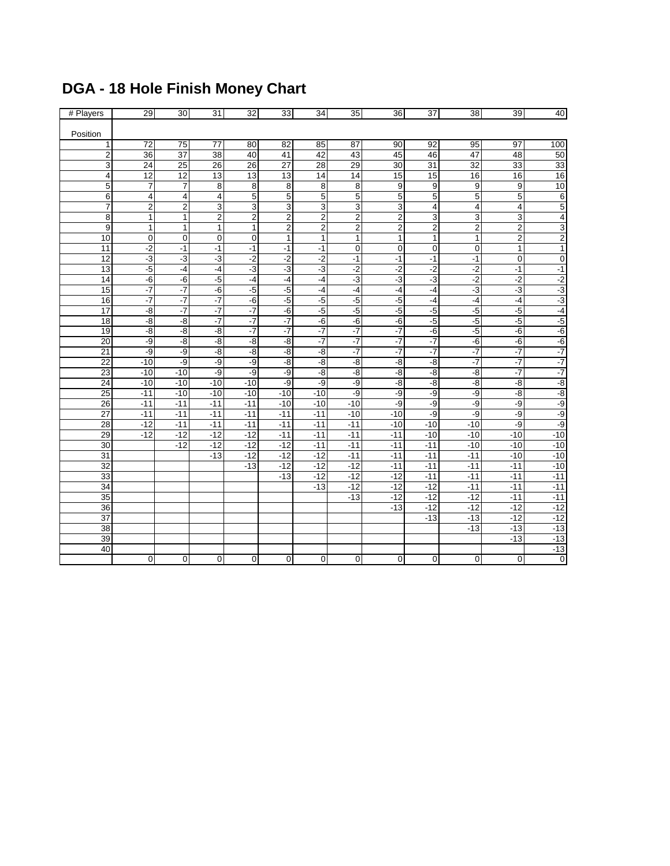| # Players<br>Position | 29                      | 30              | 31                 | 32             | 33                      | 34             | 35             | 36                      | 37                      | 38                 | 39                      | 40              |
|-----------------------|-------------------------|-----------------|--------------------|----------------|-------------------------|----------------|----------------|-------------------------|-------------------------|--------------------|-------------------------|-----------------|
|                       |                         |                 |                    |                |                         |                |                |                         |                         |                    |                         |                 |
|                       |                         |                 |                    |                |                         |                |                |                         |                         |                    |                         |                 |
|                       |                         |                 |                    |                |                         |                |                |                         |                         |                    |                         |                 |
| 1                     | 72                      | 75              | 77                 | 80             | 82                      | 85             | 87             | 90                      | 92                      | 95                 | 97                      | 100             |
| $\overline{2}$        | 36                      | 37              | 38                 | 40             | 41                      | 42             | 43             | 45                      | 46                      | 47                 | 48                      | 50              |
| 3                     | 24                      | $\overline{25}$ | $\overline{26}$    | 26             | $\overline{27}$         | 28             | 29             | 30                      | 31                      | $\overline{32}$    | 33                      | 33              |
| $\overline{4}$        | $\overline{12}$         | $\overline{12}$ | 13                 | 13             | 13                      | 14             | 14             | 15                      | 15                      | 16                 | 16                      | 16              |
| 5                     | $\overline{7}$          | 7               | 8                  | 8              | 8                       | 8              | 8              | 9                       | 9                       | 9                  | 9                       | 10              |
| $\overline{6}$        | 4                       | 4               | 4                  | 5              | $\overline{5}$          | 5              | 5              | 5                       | $\overline{5}$          | 5                  | 5                       | $\overline{6}$  |
| $\overline{7}$        | $\overline{\mathbf{c}}$ | $\overline{c}$  | 3                  | 3              | 3                       | 3              | 3              | $\overline{3}$          | $\overline{\mathbf{4}}$ | 4                  | 4                       | 5               |
| 8                     | $\mathbf{1}$            | $\mathbf{1}$    | $\overline{c}$     | $\mathbf 2$    | $\overline{\mathbf{c}}$ | $\mathbf 2$    | $\mathbf 2$    | $\overline{2}$          | 3                       | 3                  | 3                       | $\overline{4}$  |
| 9                     | $\overline{1}$          | $\mathbf{1}$    | $\overline{1}$     | $\overline{1}$ | $\overline{\mathbf{2}}$ | $\overline{2}$ | $\overline{2}$ | $\overline{\mathbf{2}}$ | $\overline{2}$          | $\overline{2}$     | $\overline{\mathbf{c}}$ | 3               |
| 10                    | $\mathbf 0$             | $\mathbf 0$     | $\mathbf 0$        | $\mathbf 0$    | $\mathbf 1$             | $\mathbf{1}$   | $\mathbf{1}$   | $\mathbf{1}$            | $\mathbf{1}$            | $\mathbf{1}$       | $\overline{2}$          | $\overline{2}$  |
| $\overline{11}$       | $-2$                    | $-1$            | $-1$               | $-1$           | $-1$                    | $-1$           | $\mathbf 0$    | $\overline{0}$          | 0                       | $\mathbf 0$        | $\mathbf{1}$            | $\overline{1}$  |
| 12                    | $-3$                    | $-3$            | $-3$               | $-2$           | $-2$                    | $-2$           | $-1$           | $-1$                    | $-1$                    | $-1$               | $\mathbf 0$             | $\overline{0}$  |
| 13                    | $-5$                    | $-4$            | $-4$               | ٦J             | ٠3                      | $-3$           | $-2$           | $-2$                    | $-2$                    | $-2$               | $-1$                    | $-1$            |
| 14                    | -6                      | -6              | $-5$               | $-4$           | $-4$                    | -4             | $-3$           | $-3$                    | $-3$                    | $-2$               | $-2$                    | $\frac{-2}{-3}$ |
| 15                    | $-7$                    | $-7$            | $-6$               | $-5$           | $-5$                    | $-4$           | $-4$           | $-4$                    | $-4$                    | $-3$               | $-3$                    |                 |
| 16                    | $-7$                    | $-7$            | $-7$               | $-6$           | $-5$                    | $-5$           | $-5$           | $-5$                    | $-4$                    | $-4$               | $-4$                    | $-3$            |
| 17                    | $-8$                    | $-7$            | $\overline{\cdot}$ | $-7$           | $-6$                    | $-5$           | $-5$           | $-5$                    | $-5$                    | $-5$               | $-5$                    | $-4$            |
| 18                    | $-8$                    | $-\frac{8}{5}$  | -7                 | $-7$           | $-7$                    | -6             | $-6$           | $-6$                    | $-5$                    | $-5$               | $-5$                    | $-5$            |
| 19                    | $-8$                    | $-8$            | $-8$               | $-7$           | $-7$                    | $-7$           | $-7$           | $-7$                    | $-6$                    | $-5$               | $-6$                    | $-6$            |
| $\overline{20}$       | -9                      | -8              | -8                 | -8             | -8                      | $-7$           | $-7$           | $-7$                    | $-7$                    | $-\overline{6}$    | $-6$                    | $-6$            |
| $\overline{21}$       | $-9$                    | $-9$            | $-8$               | -8             | $-8$                    | -8             | $-7$           | $-7$                    | $-7$                    | $\overline{\cdot}$ | $\overline{\cdot}$      | $-7$<br>$-7$    |
| 22                    | $-10$                   | -9              | $-9$               | $-9$           | $-8$                    | -8             | $-\frac{8}{5}$ | $-8$                    | $-8$                    | $\overline{\cdot}$ | $\overline{\cdot}$      |                 |
| 23                    | $-10$                   | $-10$           | -9                 | $-9$           | -9                      | -8             | $-\frac{8}{5}$ | -8                      | -8                      | -8                 | $-7$                    | $-7$            |
| 24                    | $-10$                   | $-10$           | $-10$              | $-10$          | $-9$                    | -9             | -9             | $-8$                    | $-8$                    | -8                 | -8                      | $rac{-8}{-8}$   |
| 25                    | $-11$                   | $-10$           | $-10$              | $-10$          | $-10$                   | $-10$          | $-9$           | -9                      | $-9$                    | $-9$               | $-8$                    |                 |
| 26                    | $-11$                   | $-11$           | $-11$              | $-11$          | $-10$                   | $-10$          | $-10$          | -9                      | $-9$                    | $-9$               | -9                      | $-9$            |
| $\overline{27}$       | $-11$                   | $-11$           | $-11$              | $-11$          | $-11$                   | $-11$          | $-10$          | $-10$                   | -9                      | $-9$               | -9                      | -9              |
| $\overline{28}$       | $-12$                   | $-11$           | $-11$              | $-11$          | $-11$                   | $-11$          | $-11$          | $-10$                   | $-10$                   | $-10$              | -9                      | $-9$            |
| 29                    | $-12$                   | $-12$           | $-12$              | $-12$          | $-11$                   | $-11$          | $-11$          | $-11$                   | $-10$                   | $-10$              | $-10$                   | $-10$           |
| 30                    |                         | $-12$           | $-12$              | $-12$          | $-12$                   | $-11$          | $-11$          | $-11$                   | $-11$                   | $-10$              | $-10$                   | $-10$           |
| 31                    |                         |                 | $-13$              | $-12$          | $-12$                   | $-12$          | $-11$          | $-11$                   | $-11$                   | $-11$              | $-10$                   | $-10$           |
| 32                    |                         |                 |                    | $-13$          | $-12$                   | $-12$          | $-12$          | $-11$                   | $-11$                   | $-11$              | $-11$                   | $-10$           |
| 33                    |                         |                 |                    |                | $-13$                   | $-12$          | $-12$          | $-12$                   | $-11$                   | $-11$              | $-11$                   | $-11$           |
| 34                    |                         |                 |                    |                |                         | $-13$          | $-12$          | $-12$                   | $-12$                   | $-11$              | $-11$                   | $-11$           |
| 35                    |                         |                 |                    |                |                         |                | $-13$          | $-12$                   | $-12$                   | $-12$              | $-11$                   | $-11$           |
| 36                    |                         |                 |                    |                |                         |                |                | $-13$                   | $-12$                   | $-12$              | $-12$                   | $-12$           |
| 37                    |                         |                 |                    |                |                         |                |                |                         | $-13$                   | $-13$              | $-12$                   | $-12$           |
| $\overline{38}$       |                         |                 |                    |                |                         |                |                |                         |                         | $-13$              | $-13$                   | $-13$           |
| 39                    |                         |                 |                    |                |                         |                |                |                         |                         |                    | $-13$                   | $-13$           |
| 40                    |                         |                 |                    |                |                         |                |                |                         |                         |                    |                         | $-13$           |
|                       | $\mathbf 0$             | 0               | $\mathbf 0$        | 0              | $\mathbf 0$             | 0              | 0              | 0                       | $\boldsymbol{0}$        | 0                  | $\mathbf 0$             | $\overline{0}$  |

# **DGA - 18 Hole Finish Money Chart**